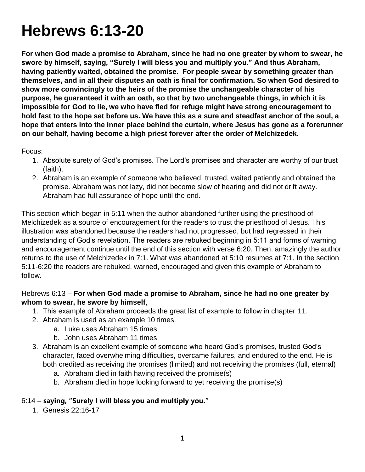# **Hebrews 6:13-20**

**For when God made a promise to Abraham, since he had no one greater by whom to swear, he swore by himself, saying, "Surely I will bless you and multiply you." And thus Abraham, having patiently waited, obtained the promise. For people swear by something greater than themselves, and in all their disputes an oath is final for confirmation. So when God desired to show more convincingly to the heirs of the promise the unchangeable character of his purpose, he guaranteed it with an oath, so that by two unchangeable things, in which it is impossible for God to lie, we who have fled for refuge might have strong encouragement to hold fast to the hope set before us. We have this as a sure and steadfast anchor of the soul, a hope that enters into the inner place behind the curtain, where Jesus has gone as a forerunner on our behalf, having become a high priest forever after the order of Melchizedek.**

Focus:

- 1. Absolute surety of God's promises. The Lord's promises and character are worthy of our trust (faith).
- 2. Abraham is an example of someone who believed, trusted, waited patiently and obtained the promise. Abraham was not lazy, did not become slow of hearing and did not drift away. Abraham had full assurance of hope until the end.

This section which began in 5:11 when the author abandoned further using the priesthood of Melchizedek as a source of encouragement for the readers to trust the priesthood of Jesus. This illustration was abandoned because the readers had not progressed, but had regressed in their understanding of God's revelation. The readers are rebuked beginning in 5:11 and forms of warning and encouragement continue until the end of this section with verse 6:20. Then, amazingly the author returns to the use of Melchizedek in 7:1. What was abandoned at 5:10 resumes at 7:1. In the section 5:11-6:20 the readers are rebuked, warned, encouraged and given this example of Abraham to follow.

#### Hebrews 6:13 – **For when God made a promise to Abraham, since he had no one greater by whom to swear, he swore by himself**,

- 1. This example of Abraham proceeds the great list of example to follow in chapter 11.
- 2. Abraham is used as an example 10 times.
	- a. Luke uses Abraham 15 times
	- b. John uses Abraham 11 times
- 3. Abraham is an excellent example of someone who heard God's promises, trusted God's character, faced overwhelming difficulties, overcame failures, and endured to the end. He is both credited as receiving the promises (limited) and not receiving the promises (full, eternal)
	- a. Abraham died in faith having received the promise(s)
	- b. Abraham died in hope looking forward to yet receiving the promise(s)

# 6:14 – **saying, "Surely I will bless you and multiply you."**

1. Genesis 22:16-17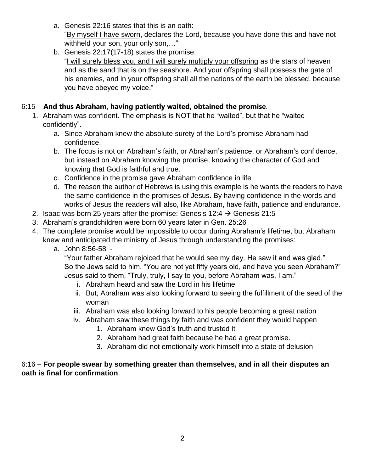- a. Genesis 22:16 states that this is an oath: "By myself I have sworn, declares the Lord, because you have done this and have not withheld your son, your only son,…"
- b. Genesis 22:17(17-18) states the promise: "I will surely bless you, and I will surely multiply your offspring as the stars of heaven and as the sand that is on the seashore. And your offspring shall possess the gate of his enemies, and in your offspring shall all the nations of the earth be blessed, because you have obeyed my voice."

## 6:15 – **And thus Abraham, having patiently waited, obtained the promise**.

- 1. Abraham was confident. The emphasis is NOT that he "waited", but that he "waited confidently".
	- a. Since Abraham knew the absolute surety of the Lord's promise Abraham had confidence.
	- b. The focus is not on Abraham's faith, or Abraham's patience, or Abraham's confidence, but instead on Abraham knowing the promise, knowing the character of God and knowing that God is faithful and true.
	- c. Confidence in the promise gave Abraham confidence in life
	- d. The reason the author of Hebrews is using this example is he wants the readers to have the same confidence in the promises of Jesus. By having confidence in the words and works of Jesus the readers will also, like Abraham, have faith, patience and endurance.
- 2. Isaac was born 25 years after the promise: Genesis 12:4  $\rightarrow$  Genesis 21:5
- 3. Abraham's grandchildren were born 60 years later in Gen. 25:26
- 4. The complete promise would be impossible to occur during Abraham's lifetime, but Abraham knew and anticipated the ministry of Jesus through understanding the promises:
	- a. John 8:56-58 -

"Your father Abraham rejoiced that he would see my day. He saw it and was glad." So the Jews said to him, "You are not yet fifty years old, and have you seen Abraham?" Jesus said to them, "Truly, truly, I say to you, before Abraham was, I am."

- i. Abraham heard and saw the Lord in his lifetime
- ii. But, Abraham was also looking forward to seeing the fulfillment of the seed of the woman
- iii. Abraham was also looking forward to his people becoming a great nation
- iv. Abraham saw these things by faith and was confident they would happen
	- 1. Abraham knew God's truth and trusted it
	- 2. Abraham had great faith because he had a great promise.
	- 3. Abraham did not emotionally work himself into a state of delusion

#### 6:16 – **For people swear by something greater than themselves, and in all their disputes an oath is final for confirmation**.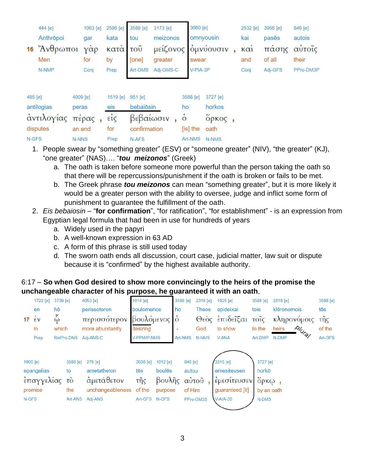|            | 444 [e]                           | 1063 [e]     |                            | 2596 [e]                   | 3588 [e]                             | 3173 [e]                                     |    |                      | 3660 [e] |           | 2532 [e]   | 3956 [e] | 846 [e]                |
|------------|-----------------------------------|--------------|----------------------------|----------------------------|--------------------------------------|----------------------------------------------|----|----------------------|----------|-----------|------------|----------|------------------------|
|            | Anthrōpoi                         | gar          | $\gamma \dot{\alpha} \rho$ | kata<br>κατά<br>by<br>Prep | tou                                  | meizonos<br>μείζονος<br>greater<br>Adj-GMS-C |    |                      |          | omnyousin | kai<br>καì | pasēs    | autois<br>πάσης αυτοΐς |
|            | 16 $\gamma$ <sup>2</sup> λνθρωποι |              |                            |                            | $\overline{100}$<br>[one]<br>Art-GMS |                                              |    |                      |          | ομνύουσιν |            |          |                        |
|            | Men                               | for          |                            |                            |                                      |                                              |    | swear                |          |           | and        | of all   | their                  |
|            | N-NMP                             | Conj         |                            |                            |                                      |                                              |    |                      | V-PIA-3P |           | Conj       | Adj-GFS  | PPro-DM3P              |
|            |                                   |              |                            |                            |                                      |                                              |    |                      |          |           |            |          |                        |
| 485 [e]    |                                   | 4009 [e]     |                            | 1519 [e]                   | 951 [e]                              |                                              |    | 3588 [e]<br>3727 [e] |          |           |            |          |                        |
| antilogias |                                   | peras        |                            | eis                        | bebaiōsin                            |                                              | ho |                      | horkos   |           |            |          |                        |
| αντιλογίας |                                   | πέρας,       |                            | $\epsilon i\zeta$          | βεβαίωσιν                            |                                              |    | $\dot{\circ}$        |          | δρκος,    |            |          |                        |
| disputes   |                                   | an end       |                            | for                        | confirmation                         |                                              |    |                      | [is] the | oath      |            |          |                        |
| N-GFS      |                                   | <b>N-NNS</b> |                            | Prep                       | N-AFS                                |                                              |    |                      | Art-NMS  | N-NMS     |            |          |                        |

- 1. People swear by "something greater" (ESV) or "someone greater" (NIV), "the greater" (KJ), "one greater" (NAS)…. "*tou meizonos*" (Greek)
	- a. The oath is taken before someone more powerful than the person taking the oath so that there will be repercussions/punishment if the oath is broken or fails to be met.
	- b. The Greek phrase *tou meizonos* can mean "something greater", but it is more likely it would be a greater person with the ability to oversee, judge and inflict some form of punishment to guarantee the fulfillment of the oath.
- 2. *Eis bebaiosin* "**for confirmation**", "for ratification", "for establishment" is an expression from Egyptian legal formula that had been in use for hundreds of years
	- a. Widely used in the papyri
	- b. A well-known expression in 63 AD
	- c. A form of this phrase is still used today
	- d. The sworn oath ends all discussion, court case, judicial matter, law suit or dispute because it is "confirmed" by the highest available authority.

#### 6:17 – **So when God desired to show more convincingly to the heirs of the promise the unchangeable character of his purpose, he guaranteed it with an oath**,

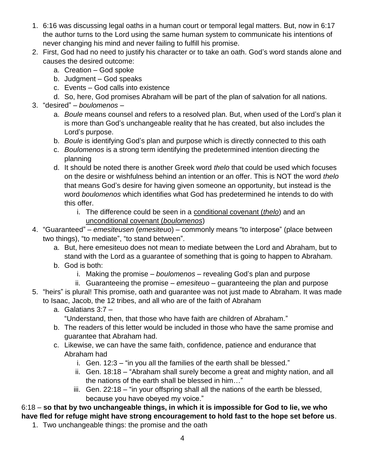- 1. 6:16 was discussing legal oaths in a human court or temporal legal matters. But, now in 6:17 the author turns to the Lord using the same human system to communicate his intentions of never changing his mind and never failing to fulfill his promise.
- 2. First, God had no need to justify his character or to take an oath. God's word stands alone and causes the desired outcome:
	- a. Creation God spoke
	- b. Judgment God speaks
	- c. Events God calls into existence
	- d. So, here, God promises Abraham will be part of the plan of salvation for all nations.
- 3. "desired" *boulomenos*
	- a. *Boule* means counsel and refers to a resolved plan. But, when used of the Lord's plan it is more than God's unchangeable reality that he has created, but also includes the Lord's purpose.
	- b. *Boule* is identifying God's plan and purpose which is directly connected to this oath
	- c. *Boulomenos* is a strong term identifying the predetermined intention directing the planning
	- d. It should be noted there is another Greek word *thelo* that could be used which focuses on the desire or wishfulness behind an intention or an offer. This is NOT the word *thelo* that means God's desire for having given someone an opportunity, but instead is the word *boulomenos* which identifies what God has predetermined he intends to do with this offer.
		- i. The difference could be seen in a conditional covenant (*thelo*) and an unconditional covenant (*boulomenos*)
- 4. "Guaranteed" *emesiteusen* (*emesiteuo*) commonly means "to interpose" (place between two things), "to mediate", "to stand between".
	- a. But, here emesiteuo does not mean to mediate between the Lord and Abraham, but to stand with the Lord as a guarantee of something that is going to happen to Abraham.
	- b. God is both:
		- i. Making the promise *boulomenos* revealing God's plan and purpose
		- ii. Guaranteeing the promise *emesiteuo* guaranteeing the plan and purpose
- 5. "heirs" is plural! This promise, oath and guarantee was not just made to Abraham. It was made to Isaac, Jacob, the 12 tribes, and all who are of the faith of Abraham
	- a. Galatians 3:7
		- "Understand, then, that those who have faith are children of Abraham."
	- b. The readers of this letter would be included in those who have the same promise and guarantee that Abraham had.
	- c. Likewise, we can have the same faith, confidence, patience and endurance that Abraham had
		- i. Gen. 12:3 "in you all the families of the earth shall be blessed."
		- ii. Gen. 18:18 "Abraham shall surely become a great and mighty nation, and all the nations of the earth shall be blessed in him…"
		- iii. Gen. 22:18 "in your offspring shall all the nations of the earth be blessed, because you have obeyed my voice."

## 6:18 – **so that by two unchangeable things, in which it is impossible for God to lie, we who have fled for refuge might have strong encouragement to hold fast to the hope set before us**.

1. Two unchangeable things: the promise and the oath